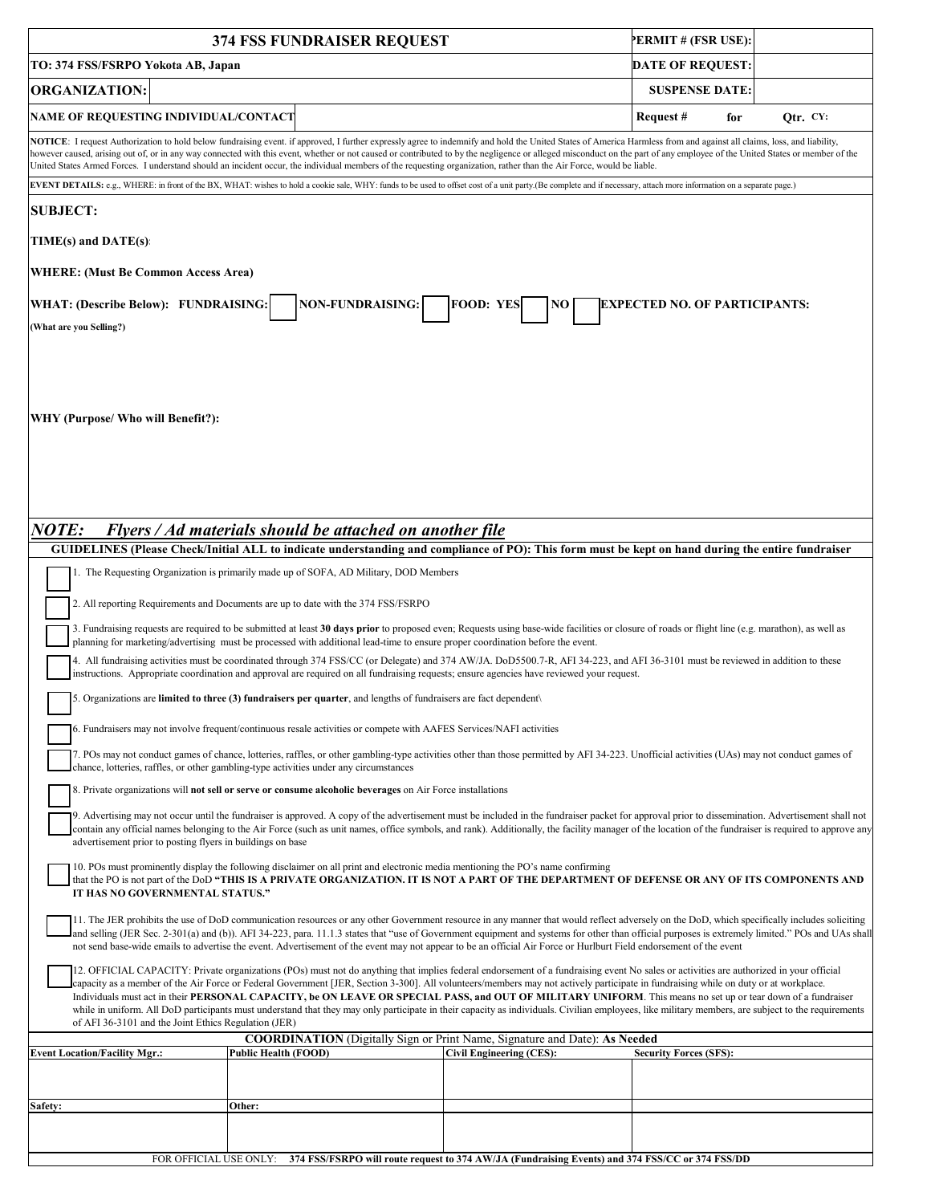| 374 FSS FUNDRAISER REQUEST                                                                                                                                                                                                                                                                                                                                                                                                                                                                                                                                                                                                                                                                                                                                                                                  |                                                                                                           |                                 | PERMIT # (FSR USE):           |            |
|-------------------------------------------------------------------------------------------------------------------------------------------------------------------------------------------------------------------------------------------------------------------------------------------------------------------------------------------------------------------------------------------------------------------------------------------------------------------------------------------------------------------------------------------------------------------------------------------------------------------------------------------------------------------------------------------------------------------------------------------------------------------------------------------------------------|-----------------------------------------------------------------------------------------------------------|---------------------------------|-------------------------------|------------|
| TO: 374 FSS/FSRPO Yokota AB, Japan                                                                                                                                                                                                                                                                                                                                                                                                                                                                                                                                                                                                                                                                                                                                                                          |                                                                                                           |                                 | <b>DATE OF REQUEST:</b>       |            |
| <b>ORGANIZATION:</b>                                                                                                                                                                                                                                                                                                                                                                                                                                                                                                                                                                                                                                                                                                                                                                                        |                                                                                                           |                                 | <b>SUSPENSE DATE:</b>         |            |
| NAME OF REQUESTING INDIVIDUAL/CONTACT                                                                                                                                                                                                                                                                                                                                                                                                                                                                                                                                                                                                                                                                                                                                                                       |                                                                                                           |                                 | Request #<br>for              | Otr. $CY:$ |
| NOTICE: I request Authorization to hold below fundraising event. if approved, I further expressly agree to indemnify and hold the United States of America Harmless from and against all claims, loss, and liability,<br>however caused, arising out of, or in any way connected with this event, whether or not caused or contributed to by the negligence or alleged misconduct on the part of any employee of the United States or member of the<br>United States Armed Forces. I understand should an incident occur, the individual members of the requesting organization, rather than the Air Force, would be liable.                                                                                                                                                                                |                                                                                                           |                                 |                               |            |
| EVENT DETAILS: e.g., WHERE: in front of the BX, WHAT: wishes to hold a cookie sale, WHY: funds to be used to offset cost of a unit party.(Be complete and if necessary, attach more information on a separate page.)                                                                                                                                                                                                                                                                                                                                                                                                                                                                                                                                                                                        |                                                                                                           |                                 |                               |            |
| <b>SUBJECT:</b>                                                                                                                                                                                                                                                                                                                                                                                                                                                                                                                                                                                                                                                                                                                                                                                             |                                                                                                           |                                 |                               |            |
| $TIME(s)$ and $DATE(s)$ :                                                                                                                                                                                                                                                                                                                                                                                                                                                                                                                                                                                                                                                                                                                                                                                   |                                                                                                           |                                 |                               |            |
| <b>WHERE:</b> (Must Be Common Access Area)                                                                                                                                                                                                                                                                                                                                                                                                                                                                                                                                                                                                                                                                                                                                                                  |                                                                                                           |                                 |                               |            |
| NON-FUNDRAISING:<br><b>FOOD: YES</b><br>WHAT: (Describe Below): FUNDRAISING:<br><b>EXPECTED NO. OF PARTICIPANTS:</b><br>NO.<br>(What are you Selling?)                                                                                                                                                                                                                                                                                                                                                                                                                                                                                                                                                                                                                                                      |                                                                                                           |                                 |                               |            |
| WHY (Purpose/ Who will Benefit?):                                                                                                                                                                                                                                                                                                                                                                                                                                                                                                                                                                                                                                                                                                                                                                           |                                                                                                           |                                 |                               |            |
| <i>NOTE:</i><br>Flyers / Ad materials should be attached on another file                                                                                                                                                                                                                                                                                                                                                                                                                                                                                                                                                                                                                                                                                                                                    |                                                                                                           |                                 |                               |            |
| GUIDELINES (Please Check/Initial ALL to indicate understanding and compliance of PO): This form must be kept on hand during the entire fundraiser                                                                                                                                                                                                                                                                                                                                                                                                                                                                                                                                                                                                                                                           |                                                                                                           |                                 |                               |            |
| 1. The Requesting Organization is primarily made up of SOFA, AD Military, DOD Members                                                                                                                                                                                                                                                                                                                                                                                                                                                                                                                                                                                                                                                                                                                       |                                                                                                           |                                 |                               |            |
| 2. All reporting Requirements and Documents are up to date with the 374 FSS/FSRPO                                                                                                                                                                                                                                                                                                                                                                                                                                                                                                                                                                                                                                                                                                                           |                                                                                                           |                                 |                               |            |
| 3. Fundraising requests are required to be submitted at least 30 days prior to proposed even; Requests using base-wide facilities or closure of roads or flight line (e.g. marathon), as well as                                                                                                                                                                                                                                                                                                                                                                                                                                                                                                                                                                                                            |                                                                                                           |                                 |                               |            |
| planning for marketing/advertising must be processed with additional lead-time to ensure proper coordination before the event.<br>4. All fundraising activities must be coordinated through 374 FSS/CC (or Delegate) and 374 AW/JA. DoD5500.7-R, AFI 34-223, and AFI 36-3101 must be reviewed in addition to these<br>instructions. Appropriate coordination and approval are required on all fundraising requests; ensure agencies have reviewed your request.                                                                                                                                                                                                                                                                                                                                             |                                                                                                           |                                 |                               |            |
| 5. Organizations are limited to three $(3)$ fundraisers per quarter, and lengths of fundraisers are fact dependent                                                                                                                                                                                                                                                                                                                                                                                                                                                                                                                                                                                                                                                                                          |                                                                                                           |                                 |                               |            |
| 6. Fundraisers may not involve frequent/continuous resale activities or compete with AAFES Services/NAFI activities                                                                                                                                                                                                                                                                                                                                                                                                                                                                                                                                                                                                                                                                                         |                                                                                                           |                                 |                               |            |
|                                                                                                                                                                                                                                                                                                                                                                                                                                                                                                                                                                                                                                                                                                                                                                                                             |                                                                                                           |                                 |                               |            |
| 7. POs may not conduct games of chance, lotteries, raffles, or other gambling-type activities other than those permitted by AFI 34-223. Unofficial activities (UAs) may not conduct games of<br>chance, lotteries, raffles, or other gambling-type activities under any circumstances                                                                                                                                                                                                                                                                                                                                                                                                                                                                                                                       |                                                                                                           |                                 |                               |            |
| 8. Private organizations will <b>not sell or serve or consume alcoholic beverages</b> on Air Force installations                                                                                                                                                                                                                                                                                                                                                                                                                                                                                                                                                                                                                                                                                            |                                                                                                           |                                 |                               |            |
| 9. Advertising may not occur until the fundraiser is approved. A copy of the advertisement must be included in the fundraiser packet for approval prior to dissemination. Advertisement shall not<br>contain any official names belonging to the Air Force (such as unit names, office symbols, and rank). Additionally, the facility manager of the location of the fundraiser is required to approve any<br>advertisement prior to posting flyers in buildings on base                                                                                                                                                                                                                                                                                                                                    |                                                                                                           |                                 |                               |            |
| 10. POs must prominently display the following disclaimer on all print and electronic media mentioning the PO's name confirming<br>that the PO is not part of the DoD "THIS IS A PRIVATE ORGANIZATION. IT IS NOT A PART OF THE DEPARTMENT OF DEFENSE OR ANY OF ITS COMPONENTS AND<br>IT HAS NO GOVERNMENTAL STATUS."                                                                                                                                                                                                                                                                                                                                                                                                                                                                                        |                                                                                                           |                                 |                               |            |
| 11. The JER prohibits the use of DoD communication resources or any other Government resource in any manner that would reflect adversely on the DoD, which specifically includes soliciting<br>land selling (JER Sec. 2-301(a) and (b)). AFI 34-223, para. 11.1.3 states that "use of Government equipment and systems for other than official purposes is extremely limited." POs and UAs shall<br>not send base-wide emails to advertise the event. Advertisement of the event may not appear to be an official Air Force or Hurlburt Field endorsement of the event                                                                                                                                                                                                                                      |                                                                                                           |                                 |                               |            |
| 12. OFFICIAL CAPACITY: Private organizations (POs) must not do anything that implies federal endorsement of a fundraising event No sales or activities are authorized in your official<br>capacity as a member of the Air Force or Federal Government [JER, Section 3-300]. All volunteers/members may not actively participate in fundraising while on duty or at workplace.<br>Individuals must act in their PERSONAL CAPACITY, be ON LEAVE OR SPECIAL PASS, and OUT OF MILITARY UNIFORM. This means no set up or tear down of a fundraiser<br>while in uniform. All DoD participants must understand that they may only participate in their capacity as individuals. Civilian employees, like military members, are subject to the requirements<br>of AFI 36-3101 and the Joint Ethics Regulation (JER) |                                                                                                           |                                 |                               |            |
| <b>Event Location/Facility Mgr.:</b>                                                                                                                                                                                                                                                                                                                                                                                                                                                                                                                                                                                                                                                                                                                                                                        | COORDINATION (Digitally Sign or Print Name, Signature and Date): As Needed<br><b>Public Health (FOOD)</b> | <b>Civil Engineering (CES):</b> | <b>Security Forces (SFS):</b> |            |
|                                                                                                                                                                                                                                                                                                                                                                                                                                                                                                                                                                                                                                                                                                                                                                                                             |                                                                                                           |                                 |                               |            |
| <b>Safety:</b>                                                                                                                                                                                                                                                                                                                                                                                                                                                                                                                                                                                                                                                                                                                                                                                              | Other:                                                                                                    |                                 |                               |            |
|                                                                                                                                                                                                                                                                                                                                                                                                                                                                                                                                                                                                                                                                                                                                                                                                             |                                                                                                           |                                 |                               |            |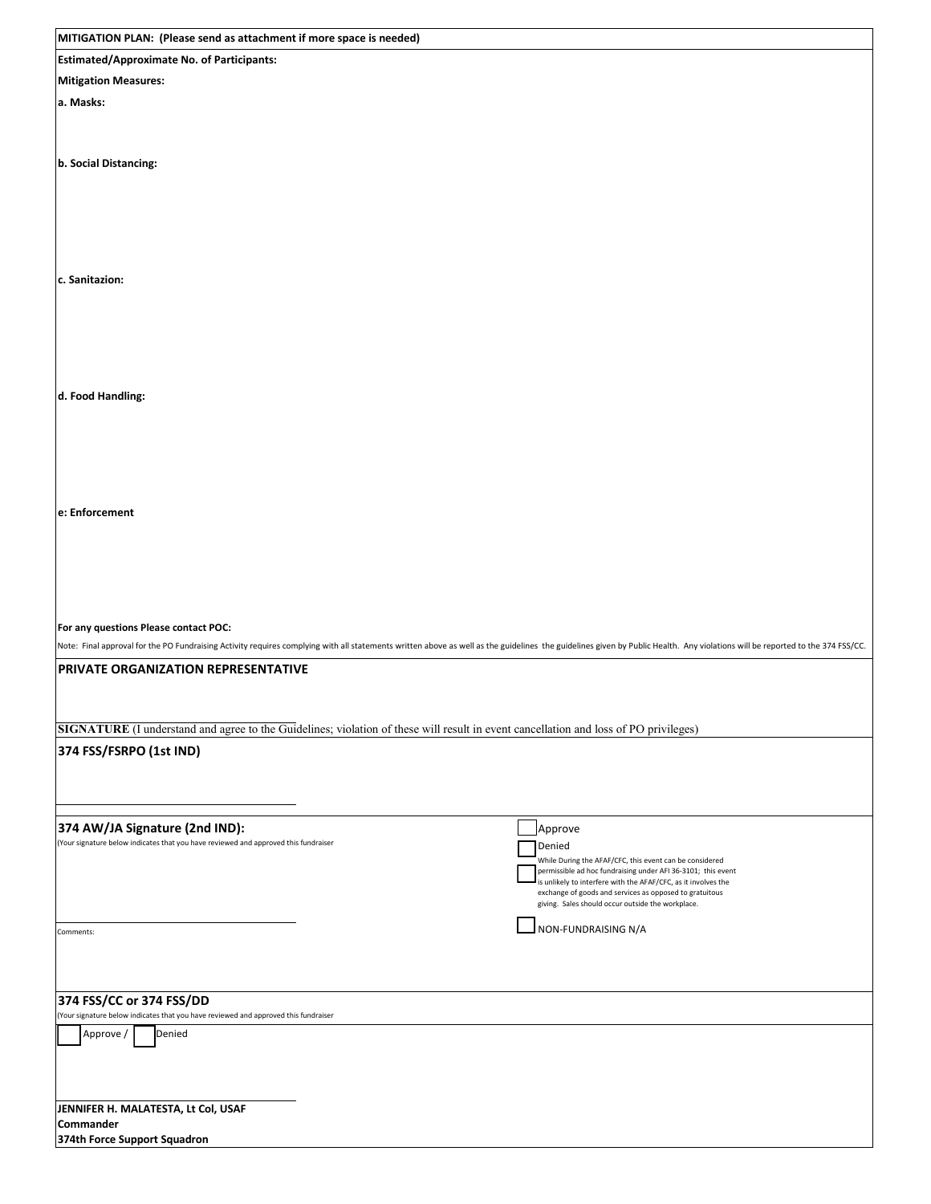| MITIGATION PLAN: (Please send as attachment if more space is needed)                                                                                                                                                                                                                                                 |                                                                                                                                                                                                                                                                                                                                |  |  |
|----------------------------------------------------------------------------------------------------------------------------------------------------------------------------------------------------------------------------------------------------------------------------------------------------------------------|--------------------------------------------------------------------------------------------------------------------------------------------------------------------------------------------------------------------------------------------------------------------------------------------------------------------------------|--|--|
| <b>Estimated/Approximate No. of Participants:</b>                                                                                                                                                                                                                                                                    |                                                                                                                                                                                                                                                                                                                                |  |  |
| <b>Mitigation Measures:</b>                                                                                                                                                                                                                                                                                          |                                                                                                                                                                                                                                                                                                                                |  |  |
| a. Masks:                                                                                                                                                                                                                                                                                                            |                                                                                                                                                                                                                                                                                                                                |  |  |
| b. Social Distancing:                                                                                                                                                                                                                                                                                                |                                                                                                                                                                                                                                                                                                                                |  |  |
| c. Sanitazion:                                                                                                                                                                                                                                                                                                       |                                                                                                                                                                                                                                                                                                                                |  |  |
| d. Food Handling:                                                                                                                                                                                                                                                                                                    |                                                                                                                                                                                                                                                                                                                                |  |  |
| e: Enforcement                                                                                                                                                                                                                                                                                                       |                                                                                                                                                                                                                                                                                                                                |  |  |
| For any questions Please contact POC:<br>Note: Final approval for the PO Fundraising Activity requires complying with all statements written above as well as the guidelines the guidelines given by Public Health. Any violations will be reported to the 374 FSS/CC.<br><b>PRIVATE ORGANIZATION REPRESENTATIVE</b> |                                                                                                                                                                                                                                                                                                                                |  |  |
| SIGNATURE (I understand and agree to the Guidelines; violation of these will result in event cancellation and loss of PO privileges)                                                                                                                                                                                 |                                                                                                                                                                                                                                                                                                                                |  |  |
| 374 FSS/FSRPO (1st IND)                                                                                                                                                                                                                                                                                              |                                                                                                                                                                                                                                                                                                                                |  |  |
| 374 AW/JA Signature (2nd IND):<br>(Your signature below indicates that you have reviewed and approved this fundraiser                                                                                                                                                                                                | Approve<br>Denied<br>While During the AFAF/CFC, this event can be considered<br>permissible ad hoc fundraising under AFI 36-3101; this event<br>is unlikely to interfere with the AFAF/CFC, as it involves the<br>exchange of goods and services as opposed to gratuitous<br>giving. Sales should occur outside the workplace. |  |  |
| Comments:                                                                                                                                                                                                                                                                                                            | NON-FUNDRAISING N/A                                                                                                                                                                                                                                                                                                            |  |  |
| 374 FSS/CC or 374 FSS/DD<br>(Your signature below indicates that you have reviewed and approved this fundraiser                                                                                                                                                                                                      |                                                                                                                                                                                                                                                                                                                                |  |  |
| Denied<br>Approve /                                                                                                                                                                                                                                                                                                  |                                                                                                                                                                                                                                                                                                                                |  |  |
| JENNIFER H. MALATESTA, Lt Col, USAF<br>Commander                                                                                                                                                                                                                                                                     |                                                                                                                                                                                                                                                                                                                                |  |  |
| 374th Force Support Squadron                                                                                                                                                                                                                                                                                         |                                                                                                                                                                                                                                                                                                                                |  |  |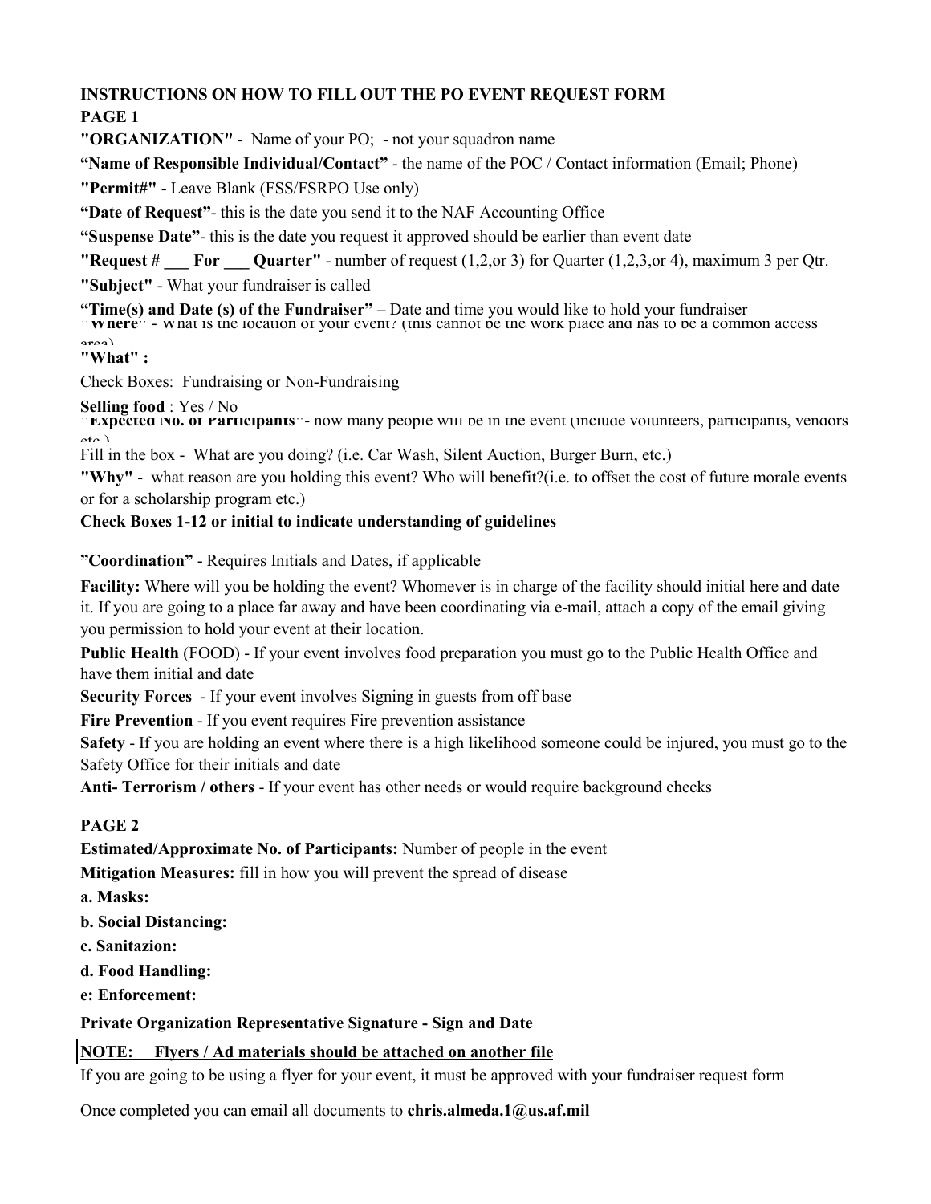## **INSTRUCTIONS ON HOW TO FILL OUT THE PO EVENT REQUEST FORM**

## **PAGE 1**

**"ORGANIZATION"** - Name of your PO; - not your squadron name

**"Name of Responsible Individual/Contact"** - the name of the POC / Contact information (Email; Phone)

**"Permit#"** - Leave Blank (FSS/FSRPO Use only)

**"Date of Request"**- this is the date you send it to the NAF Accounting Office

**"Suspense Date"**- this is the date you request it approved should be earlier than event date

**"Request # \_\_\_ For \_\_\_ Quarter"** - number of request (1,2,or 3) for Quarter (1,2,3,or 4), maximum 3 per Qtr.

**"Subject"** - What your fundraiser is called

**"Time(s) and Date (s) of the Fundraiser"** – Date and time you would like to hold your fundraiser **"Where"** - What is the location of your event? (this cannot be the work place and has to be a common access

area)

#### **"What" :**

Check Boxes: Fundraising or Non-Fundraising

**Selling food** : Yes / No

**EXPECTED NO. OF PATTICIPANTS**  $\cdot$ - how many people will be in the event (include volunteers, participants, vendors  $_{\alpha}$  )

Fill in the box - What are you doing? (i.e. Car Wash, Silent Auction, Burger Burn, etc.)

**"Why"** - what reason are you holding this event? Who will benefit?(i.e. to offset the cost of future morale events or for a scholarship program etc.)

### **Check Boxes 1-12 or initial to indicate understanding of guidelines**

**"Coordination"** - Requires Initials and Dates, if applicable

**Facility:** Where will you be holding the event? Whomever is in charge of the facility should initial here and date it. If you are going to a place far away and have been coordinating via e-mail, attach a copy of the email giving you permission to hold your event at their location.

**Public Health** (FOOD) - If your event involves food preparation you must go to the Public Health Office and have them initial and date

**Security Forces** - If your event involves Signing in guests from off base

**Fire Prevention** - If you event requires Fire prevention assistance

**Safety** - If you are holding an event where there is a high likelihood someone could be injured, you must go to the Safety Office for their initials and date

**Anti- Terrorism / others** - If your event has other needs or would require background checks

## **PAGE 2**

**Estimated/Approximate No. of Participants:** Number of people in the event

**Mitigation Measures:** fill in how you will prevent the spread of disease

- **a. Masks:**
- **b. Social Distancing:**
- **c. Sanitazion:**
- **d. Food Handling:**
- **e: Enforcement:**

### **Private Organization Representative Signature - Sign and Date**

## **NOTE: Flyers / Ad materials should be attached on another file**

If you are going to be using a flyer for your event, it must be approved with your fundraiser request form

Once completed you can email all documents to **chris.almeda.1@us.af.mil**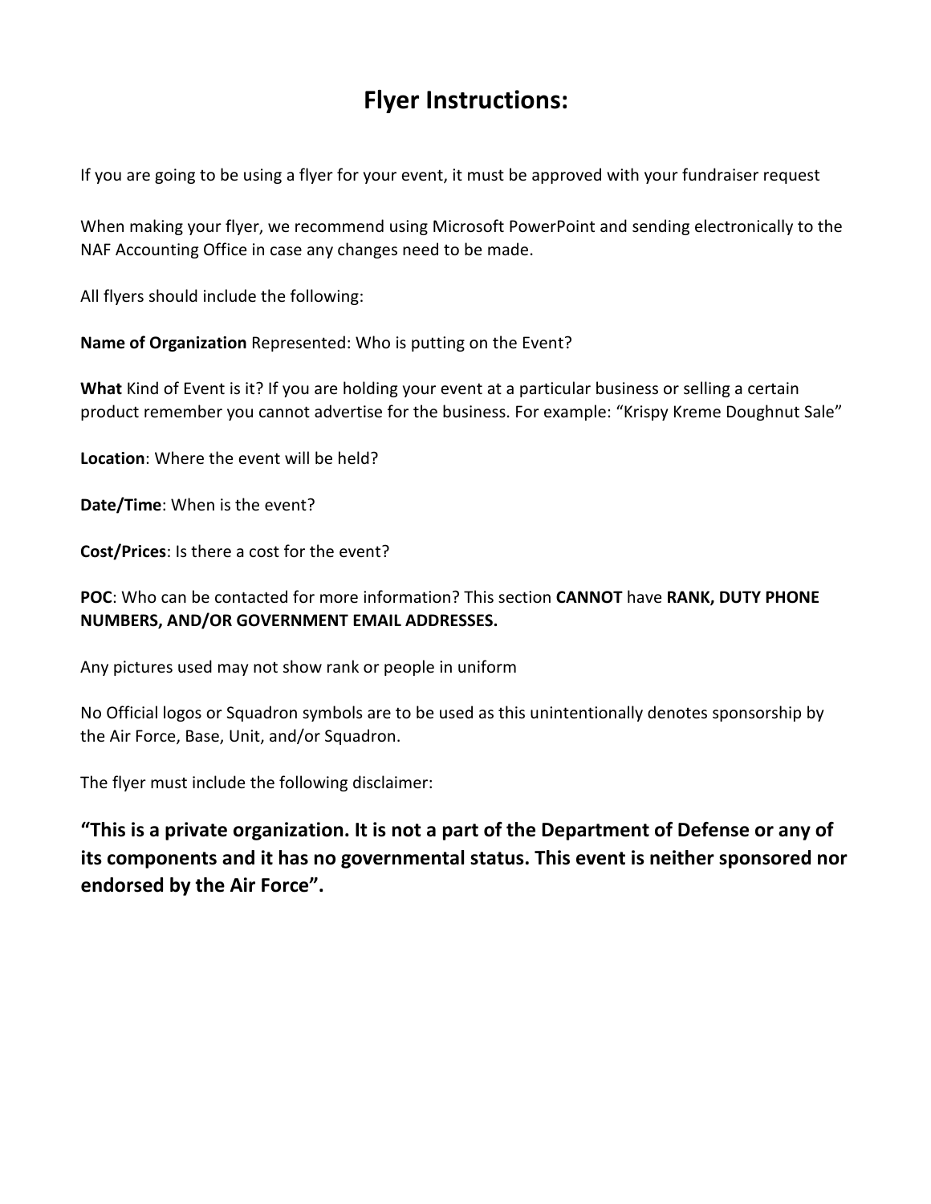# **Flyer Instructions:**

If you are going to be using a flyer for your event, it must be approved with your fundraiser request

When making your flyer, we recommend using Microsoft PowerPoint and sending electronically to the NAF Accounting Office in case any changes need to be made.

All flyers should include the following:

**Name of Organization** Represented: Who is putting on the Event?

**What** Kind of Event is it? If you are holding your event at a particular business or selling a certain product remember you cannot advertise for the business. For example: "Krispy Kreme Doughnut Sale"

**Location**: Where the event will be held?

**Date/Time**: When is the event?

**Cost/Prices**: Is there a cost for the event?

### **POC**: Who can be contacted for more information? This section **CANNOT** have **RANK, DUTY PHONE NUMBERS, AND/OR GOVERNMENT EMAIL ADDRESSES.**

Any pictures used may not show rank or people in uniform

No Official logos or Squadron symbols are to be used as this unintentionally denotes sponsorship by the Air Force, Base, Unit, and/or Squadron.

The flyer must include the following disclaimer:

**"This is a private organization. It is not a part of the Department of Defense or any of its components and it has no governmental status. This event is neither sponsored nor endorsed by the Air Force".**